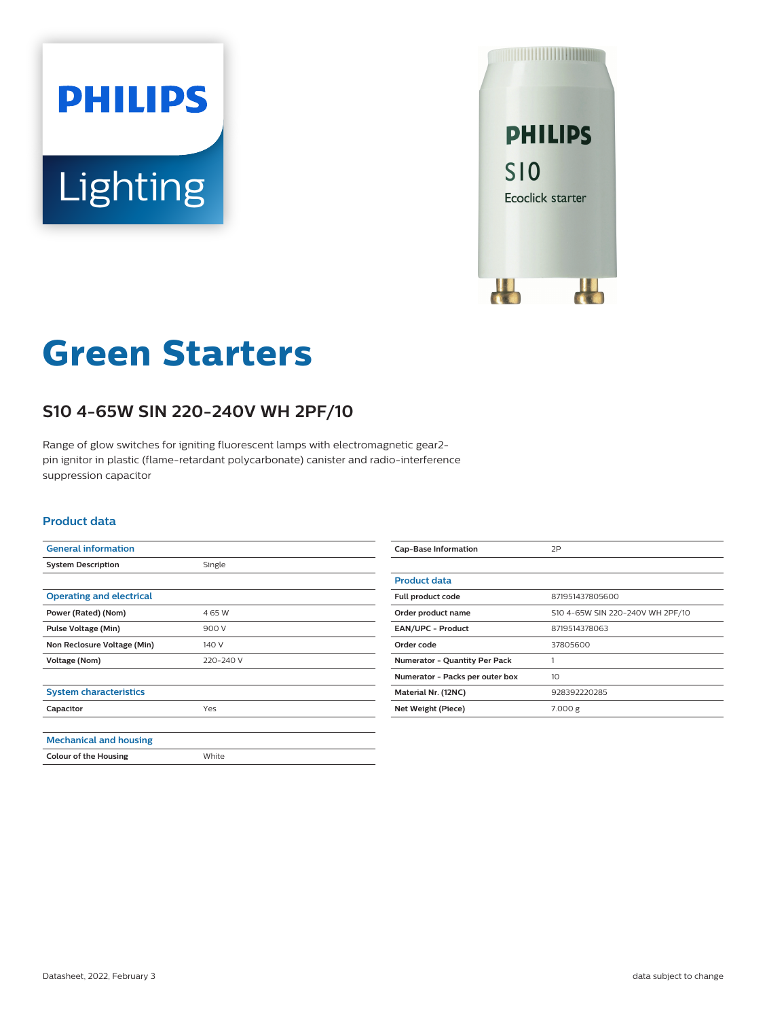



# **Green Starters**

## **S10 4-65W SIN 220-240V WH 2PF/10**

Range of glow switches for igniting fluorescent lamps with electromagnetic gear2 pin ignitor in plastic (flame-retardant polycarbonate) canister and radio-interference suppression capacitor

#### **Product data**

| <b>General information</b>      |           |
|---------------------------------|-----------|
| <b>System Description</b>       | Single    |
|                                 |           |
| <b>Operating and electrical</b> |           |
| Power (Rated) (Nom)             | 4 65 W    |
| <b>Pulse Voltage (Min)</b>      | 900 V     |
| Non Reclosure Voltage (Min)     | 140 V     |
| Voltage (Nom)                   | 220-240 V |
|                                 |           |
| <b>System characteristics</b>   |           |
| Capacitor                       | Yes       |
|                                 |           |
| <b>Mechanical and housing</b>   |           |
| <b>Colour of the Housing</b>    | White     |

| <b>Cap-Base Information</b>          | 2P                               |
|--------------------------------------|----------------------------------|
|                                      |                                  |
| <b>Product data</b>                  |                                  |
| Full product code                    | 871951437805600                  |
| Order product name                   | S10 4-65W SIN 220-240V WH 2PF/10 |
| <b>EAN/UPC - Product</b>             | 8719514378063                    |
| Order code                           | 37805600                         |
| <b>Numerator - Quantity Per Pack</b> |                                  |
| Numerator - Packs per outer box      | 10                               |
| Material Nr. (12NC)                  | 928392220285                     |
| Net Weight (Piece)                   | 7.000 g                          |